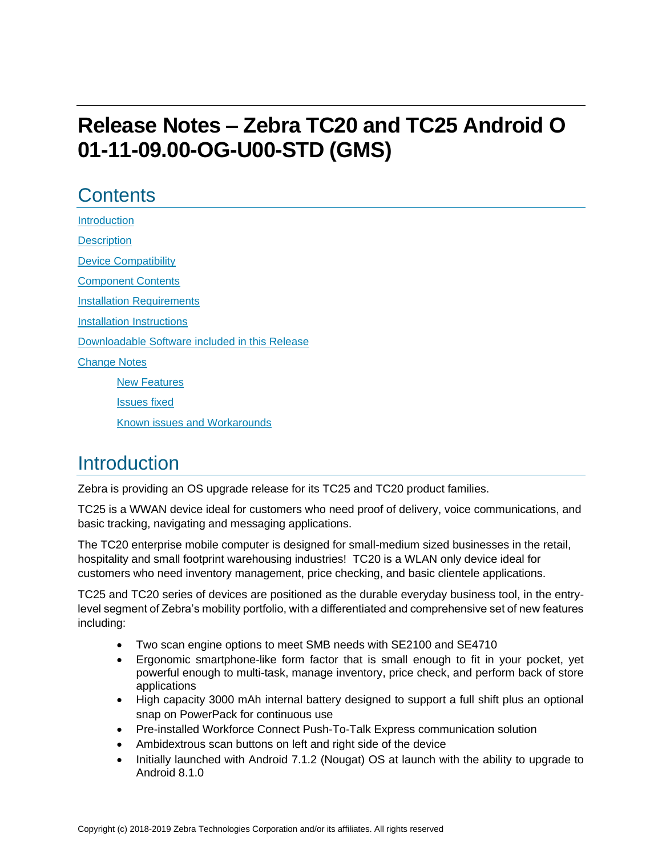# **Release Notes – Zebra TC20 and TC25 Android O 01-11-09.00-OG-U00-STD (GMS)**

## **Contents**

**[Introduction](#page-0-0) [Description](#page-0-0)** [Device Compatibility](#page-1-0) [Component Contents](#page-2-0) [Installation Requirements](#page-3-0) [Installation Instructions](#page-4-0) [Downloadable Software included in this Release](#page-6-0)  [Change Notes](#page-6-1) [New Features](#page-6-2) [Issues fixed](#page-7-0)

<span id="page-0-0"></span>Known issues [and](#page-7-1) Workarounds

## **Introduction**

Zebra is providing an OS upgrade release for its TC25 and TC20 product families.

TC25 is a WWAN device ideal for customers who need proof of delivery, voice communications, and basic tracking, navigating and messaging applications.

The TC20 enterprise mobile computer is designed for small-medium sized businesses in the retail, hospitality and small footprint warehousing industries! TC20 is a WLAN only device ideal for customers who need inventory management, price checking, and basic clientele applications.

TC25 and TC20 series of devices are positioned as the durable everyday business tool, in the entrylevel segment of Zebra's mobility portfolio, with a differentiated and comprehensive set of new features including:

- Two scan engine options to meet SMB needs with SE2100 and SE4710
- Ergonomic smartphone-like form factor that is small enough to fit in your pocket, yet powerful enough to multi-task, manage inventory, price check, and perform back of store applications
- High capacity 3000 mAh internal battery designed to support a full shift plus an optional snap on PowerPack for continuous use
- Pre-installed Workforce Connect Push-To-Talk Express communication solution
- Ambidextrous scan buttons on left and right side of the device
- Initially launched with Android 7.1.2 (Nougat) OS at launch with the ability to upgrade to Android 8.1.0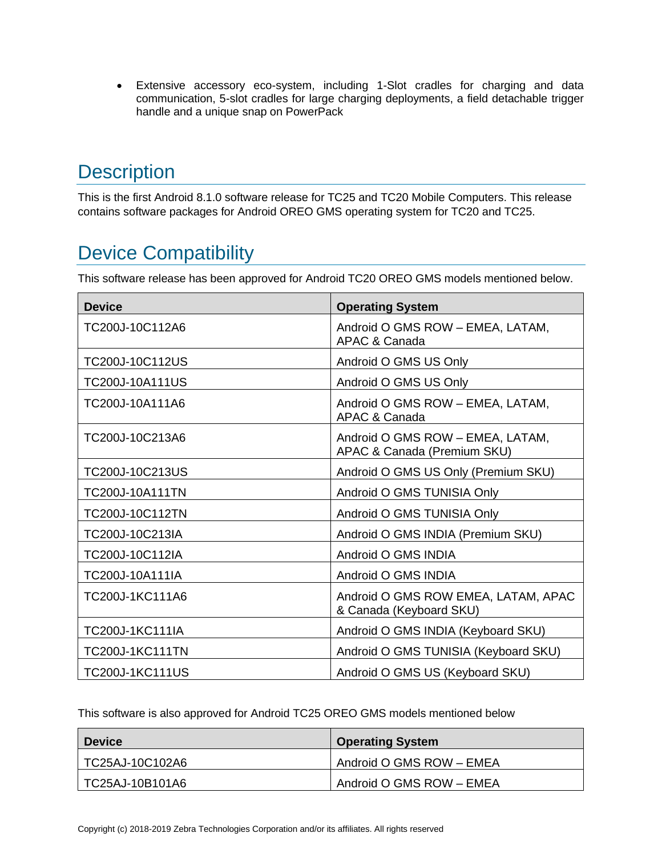• Extensive accessory eco-system, including 1-Slot cradles for charging and data communication, 5-slot cradles for large charging deployments, a field detachable trigger handle and a unique snap on PowerPack

# **Description**

This is the first Android 8.1.0 software release for TC25 and TC20 Mobile Computers. This release contains software packages for Android OREO GMS operating system for TC20 and TC25.

# <span id="page-1-0"></span>Device Compatibility

This software release has been approved for Android TC20 OREO GMS models mentioned below.

| <b>Device</b>          | <b>Operating System</b>                                         |
|------------------------|-----------------------------------------------------------------|
| TC200J-10C112A6        | Android O GMS ROW - EMEA, LATAM,<br>APAC & Canada               |
| TC200J-10C112US        | Android O GMS US Only                                           |
| TC200J-10A111US        | Android O GMS US Only                                           |
| TC200J-10A111A6        | Android O GMS ROW - EMEA, LATAM,<br>APAC & Canada               |
| TC200J-10C213A6        | Android O GMS ROW - EMEA, LATAM,<br>APAC & Canada (Premium SKU) |
| TC200J-10C213US        | Android O GMS US Only (Premium SKU)                             |
| TC200J-10A111TN        | Android O GMS TUNISIA Only                                      |
| TC200J-10C112TN        | Android O GMS TUNISIA Only                                      |
| TC200J-10C213IA        | Android O GMS INDIA (Premium SKU)                               |
| TC200J-10C112IA        | Android O GMS INDIA                                             |
| TC200J-10A111IA        | Android O GMS INDIA                                             |
| TC200J-1KC111A6        | Android O GMS ROW EMEA, LATAM, APAC<br>& Canada (Keyboard SKU)  |
| <b>TC200J-1KC111IA</b> | Android O GMS INDIA (Keyboard SKU)                              |
| <b>TC200J-1KC111TN</b> | Android O GMS TUNISIA (Keyboard SKU)                            |
| <b>TC200J-1KC111US</b> | Android O GMS US (Keyboard SKU)                                 |

This software is also approved for Android TC25 OREO GMS models mentioned below

| <b>Device</b>   | <b>Operating System</b>  |
|-----------------|--------------------------|
| TC25AJ-10C102A6 | Android O GMS ROW - EMEA |
| TC25AJ-10B101A6 | Android O GMS ROW - EMEA |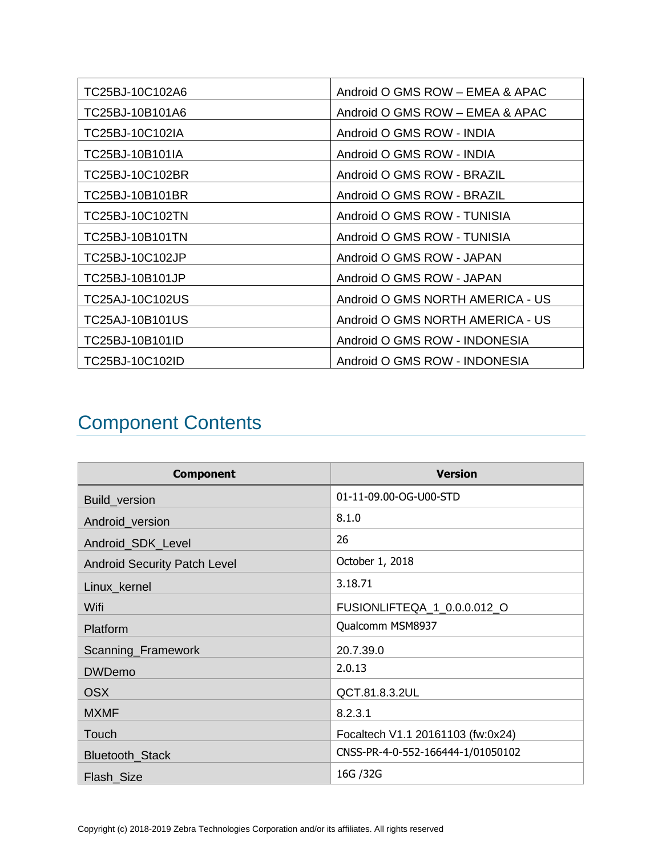| TC25BJ-10C102A6 | Android O GMS ROW - EMEA & APAC  |
|-----------------|----------------------------------|
| TC25BJ-10B101A6 | Android O GMS ROW - EMEA & APAC  |
| TC25BJ-10C102IA | Android O GMS ROW - INDIA        |
| TC25BJ-10B101IA | Android O GMS ROW - INDIA        |
| TC25BJ-10C102BR | Android O GMS ROW - BRAZIL       |
| TC25BJ-10B101BR | Android O GMS ROW - BRAZIL       |
| TC25BJ-10C102TN | Android O GMS ROW - TUNISIA      |
| TC25BJ-10B101TN | Android O GMS ROW - TUNISIA      |
| TC25BJ-10C102JP | Android O GMS ROW - JAPAN        |
| TC25BJ-10B101JP | Android O GMS ROW - JAPAN        |
| TC25AJ-10C102US | Android O GMS NORTH AMERICA - US |
| TC25AJ-10B101US | Android O GMS NORTH AMERICA - US |
| TC25BJ-10B101ID | Android O GMS ROW - INDONESIA    |
| TC25BJ-10C102ID | Android O GMS ROW - INDONESIA    |

# <span id="page-2-0"></span>Component Contents

| <b>Component</b>                    | <b>Version</b>                    |
|-------------------------------------|-----------------------------------|
| Build_version                       | 01-11-09.00-OG-U00-STD            |
| Android_version                     | 8.1.0                             |
| Android_SDK_Level                   | 26                                |
| <b>Android Security Patch Level</b> | October 1, 2018                   |
| Linux_kernel                        | 3.18.71                           |
| Wifi                                | FUSIONLIFTEQA_1_0.0.0.012_O       |
| Platform                            | Qualcomm MSM8937                  |
| Scanning_Framework                  | 20.7.39.0                         |
| <b>DWDemo</b>                       | 2.0.13                            |
| <b>OSX</b>                          | QCT.81.8.3.2UL                    |
| <b>MXMF</b>                         | 8.2.3.1                           |
| Touch                               | Focaltech V1.1 20161103 (fw:0x24) |
| Bluetooth_Stack                     | CNSS-PR-4-0-552-166444-1/01050102 |
| Flash_Size                          | 16G / 32G                         |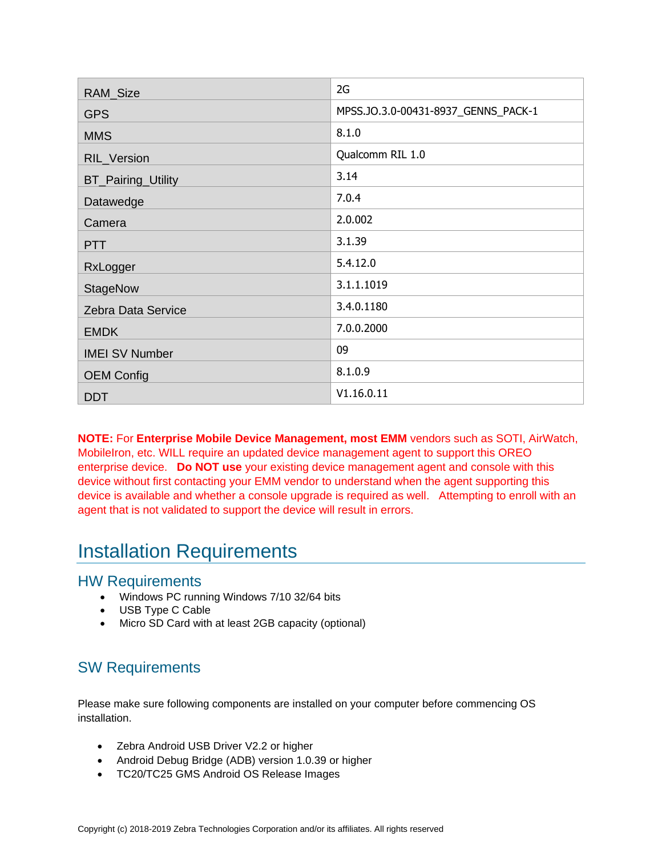| RAM_Size                  | 2G                                  |
|---------------------------|-------------------------------------|
| <b>GPS</b>                | MPSS.JO.3.0-00431-8937_GENNS_PACK-1 |
| <b>MMS</b>                | 8.1.0                               |
| RIL_Version               | Qualcomm RIL 1.0                    |
| <b>BT_Pairing_Utility</b> | 3.14                                |
| Datawedge                 | 7.0.4                               |
| Camera                    | 2.0.002                             |
| <b>PTT</b>                | 3.1.39                              |
| RxLogger                  | 5.4.12.0                            |
| <b>StageNow</b>           | 3.1.1.1019                          |
| Zebra Data Service        | 3.4.0.1180                          |
| <b>EMDK</b>               | 7.0.0.2000                          |
| <b>IMEI SV Number</b>     | 09                                  |
| <b>OEM Config</b>         | 8.1.0.9                             |
| <b>DDT</b>                | V1.16.0.11                          |

**NOTE:** For **Enterprise Mobile Device Management, most EMM** vendors such as SOTI, AirWatch, MobileIron, etc. WILL require an updated device management agent to support this OREO enterprise device. **Do NOT use** your existing device management agent and console with this device without first contacting your EMM vendor to understand when the agent supporting this device is available and whether a console upgrade is required as well. Attempting to enroll with an agent that is not validated to support the device will result in errors.

## <span id="page-3-0"></span>Installation Requirements

#### HW Requirements

- Windows PC running Windows 7/10 32/64 bits
- USB Type C Cable
- Micro SD Card with at least 2GB capacity (optional)

### SW Requirements

Please make sure following components are installed on your computer before commencing OS installation.

- Zebra Android USB Driver V2.2 or higher
- Android Debug Bridge (ADB) version 1.0.39 or higher
- TC20/TC25 GMS Android OS Release Images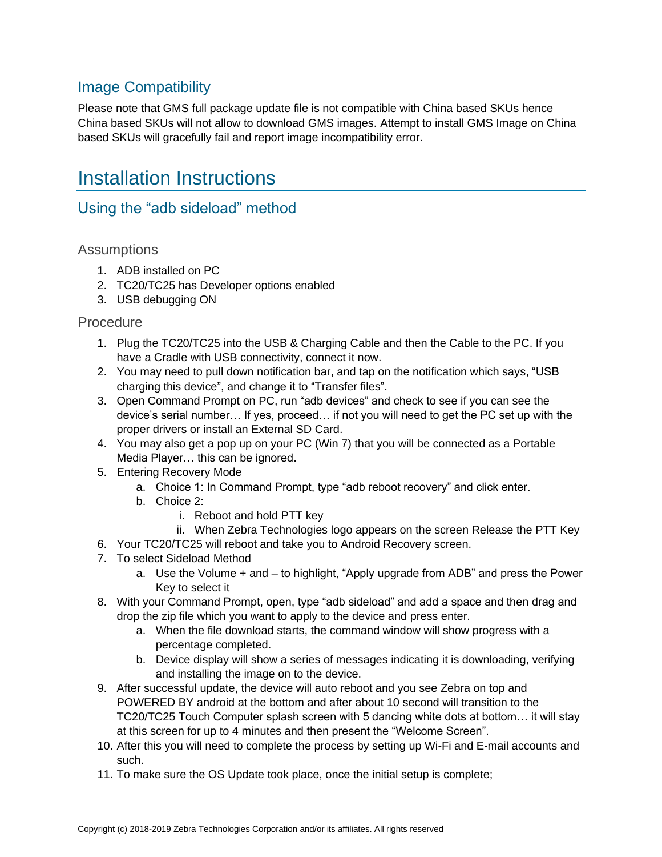#### Image Compatibility

Please note that GMS full package update file is not compatible with China based SKUs hence China based SKUs will not allow to download GMS images. Attempt to install GMS Image on China based SKUs will gracefully fail and report image incompatibility error.

## <span id="page-4-0"></span>Installation Instructions

#### Using the "adb sideload" method

#### **Assumptions**

- 1. ADB installed on PC
- 2. TC20/TC25 has Developer options enabled
- 3. USB debugging ON

#### **Procedure**

- 1. Plug the TC20/TC25 into the USB & Charging Cable and then the Cable to the PC. If you have a Cradle with USB connectivity, connect it now.
- 2. You may need to pull down notification bar, and tap on the notification which says, "USB charging this device", and change it to "Transfer files".
- 3. Open Command Prompt on PC, run "adb devices" and check to see if you can see the device's serial number… If yes, proceed… if not you will need to get the PC set up with the proper drivers or install an External SD Card.
- 4. You may also get a pop up on your PC (Win 7) that you will be connected as a Portable Media Player… this can be ignored.
- 5. Entering Recovery Mode
	- a. Choice 1: In Command Prompt, type "adb reboot recovery" and click enter.
	- b. Choice 2:
		- i. Reboot and hold PTT key
		- ii. When Zebra Technologies logo appears on the screen Release the PTT Key
- 6. Your TC20/TC25 will reboot and take you to Android Recovery screen.
- 7. To select Sideload Method
	- a. Use the Volume + and to highlight, "Apply upgrade from ADB" and press the Power Key to select it
- 8. With your Command Prompt, open, type "adb sideload" and add a space and then drag and drop the zip file which you want to apply to the device and press enter.
	- a. When the file download starts, the command window will show progress with a percentage completed.
	- b. Device display will show a series of messages indicating it is downloading, verifying and installing the image on to the device.
- 9. After successful update, the device will auto reboot and you see Zebra on top and POWERED BY android at the bottom and after about 10 second will transition to the TC20/TC25 Touch Computer splash screen with 5 dancing white dots at bottom… it will stay at this screen for up to 4 minutes and then present the "Welcome Screen".
- 10. After this you will need to complete the process by setting up Wi-Fi and E-mail accounts and such.
- 11. To make sure the OS Update took place, once the initial setup is complete;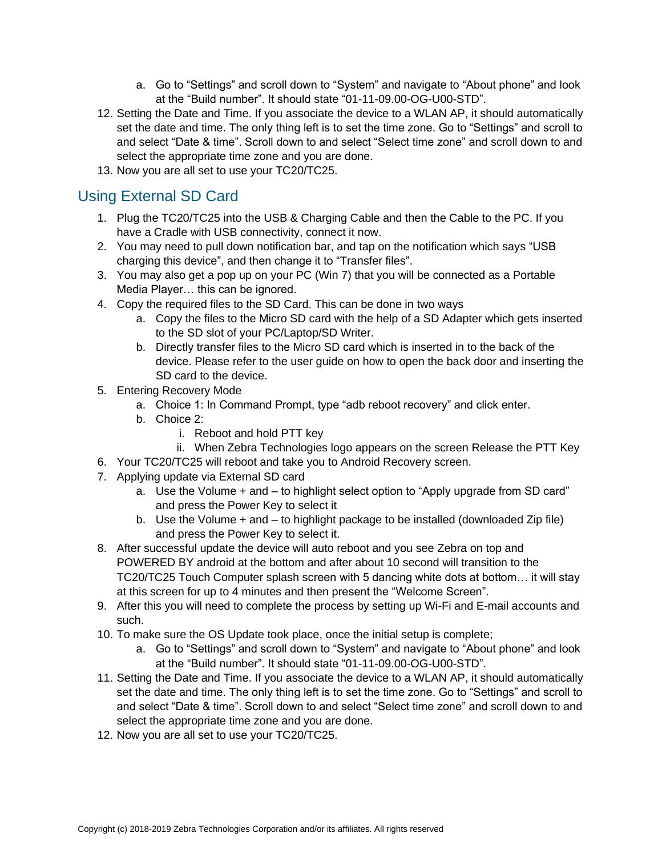- a. Go to "Settings" and scroll down to "System" and navigate to "About phone" and look at the "Build number". It should state "01-11-09.00-OG-U00-STD".
- 12. Setting the Date and Time. If you associate the device to a WLAN AP, it should automatically set the date and time. The only thing left is to set the time zone. Go to "Settings" and scroll to and select "Date & time". Scroll down to and select "Select time zone" and scroll down to and select the appropriate time zone and you are done.
- 13. Now you are all set to use your TC20/TC25.

### Using External SD Card

- 1. Plug the TC20/TC25 into the USB & Charging Cable and then the Cable to the PC. If you have a Cradle with USB connectivity, connect it now.
- 2. You may need to pull down notification bar, and tap on the notification which says "USB charging this device", and then change it to "Transfer files".
- 3. You may also get a pop up on your PC (Win 7) that you will be connected as a Portable Media Player… this can be ignored.
- 4. Copy the required files to the SD Card. This can be done in two ways
	- a. Copy the files to the Micro SD card with the help of a SD Adapter which gets inserted to the SD slot of your PC/Laptop/SD Writer.
	- b. Directly transfer files to the Micro SD card which is inserted in to the back of the device. Please refer to the user guide on how to open the back door and inserting the SD card to the device.
- 5. Entering Recovery Mode
	- a. Choice 1: In Command Prompt, type "adb reboot recovery" and click enter.
	- b. Choice 2:
		- i. Reboot and hold PTT key
		- ii. When Zebra Technologies logo appears on the screen Release the PTT Key
- 6. Your TC20/TC25 will reboot and take you to Android Recovery screen.
- 7. Applying update via External SD card
	- a. Use the Volume + and to highlight select option to "Apply upgrade from SD card" and press the Power Key to select it
	- b. Use the Volume + and to highlight package to be installed (downloaded Zip file) and press the Power Key to select it.
- 8. After successful update the device will auto reboot and you see Zebra on top and POWERED BY android at the bottom and after about 10 second will transition to the TC20/TC25 Touch Computer splash screen with 5 dancing white dots at bottom… it will stay at this screen for up to 4 minutes and then present the "Welcome Screen".
- 9. After this you will need to complete the process by setting up Wi-Fi and E-mail accounts and such.
- 10. To make sure the OS Update took place, once the initial setup is complete;
	- a. Go to "Settings" and scroll down to "System" and navigate to "About phone" and look at the "Build number". It should state "01-11-09.00-OG-U00-STD".
- 11. Setting the Date and Time. If you associate the device to a WLAN AP, it should automatically set the date and time. The only thing left is to set the time zone. Go to "Settings" and scroll to and select "Date & time". Scroll down to and select "Select time zone" and scroll down to and select the appropriate time zone and you are done.
- 12. Now you are all set to use your TC20/TC25.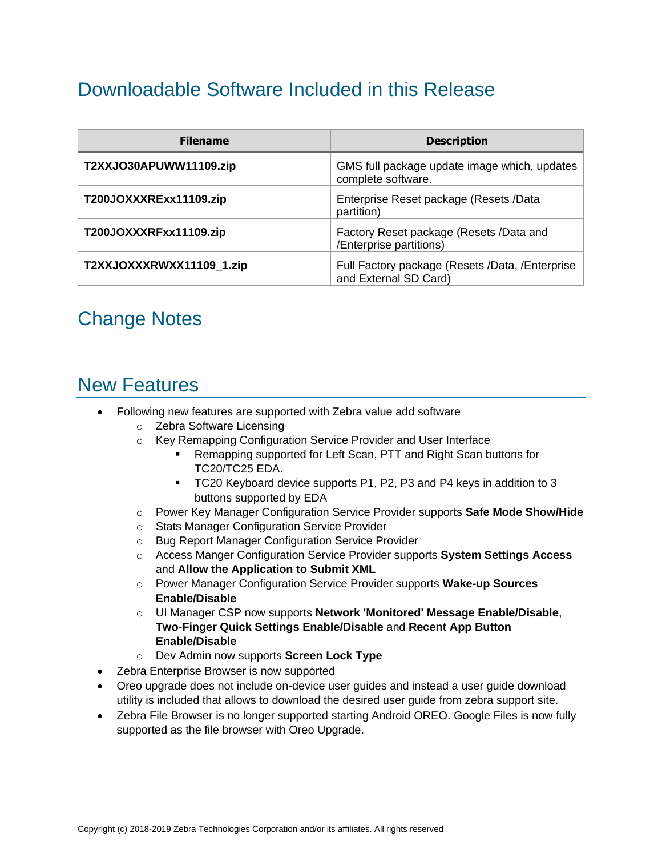# <span id="page-6-0"></span>Downloadable Software Included in this Release

| <b>Filename</b>          | <b>Description</b>                                                       |
|--------------------------|--------------------------------------------------------------------------|
| T2XXJO30APUWW11109.zip   | GMS full package update image which, updates<br>complete software.       |
| T200JOXXXRExx11109.zip   | Enterprise Reset package (Resets /Data<br>partition)                     |
| T200JOXXXRFxx11109.zip   | Factory Reset package (Resets /Data and<br>/Enterprise partitions)       |
| T2XXJOXXXRWXX11109_1.zip | Full Factory package (Resets /Data, /Enterprise<br>and External SD Card) |

# <span id="page-6-1"></span>Change Notes

## <span id="page-6-2"></span>New Features

- Following new features are supported with Zebra value add software
	- o Zebra Software Licensing
	- o Key Remapping Configuration Service Provider and User Interface
		- Remapping supported for Left Scan, PTT and Right Scan buttons for TC20/TC25 EDA.
		- TC20 Keyboard device supports P1, P2, P3 and P4 keys in addition to 3 buttons supported by EDA
	- o Power Key Manager Configuration Service Provider supports **Safe Mode Show/Hide**
	- o Stats Manager Configuration Service Provider
	- o Bug Report Manager Configuration Service Provider
	- o Access Manger Configuration Service Provider supports **System Settings Access** and **Allow the Application to Submit XML**
	- o Power Manager Configuration Service Provider supports **Wake-up Sources Enable/Disable**
	- o UI Manager CSP now supports **Network 'Monitored' Message Enable/Disable**, **Two-Finger Quick Settings Enable/Disable** and **Recent App Button Enable/Disable**
	- o Dev Admin now supports **Screen Lock Type**
- Zebra Enterprise Browser is now supported
- Oreo upgrade does not include on-device user guides and instead a user guide download utility is included that allows to download the desired user guide from zebra support site.
- Zebra File Browser is no longer supported starting Android OREO. Google Files is now fully supported as the file browser with Oreo Upgrade.